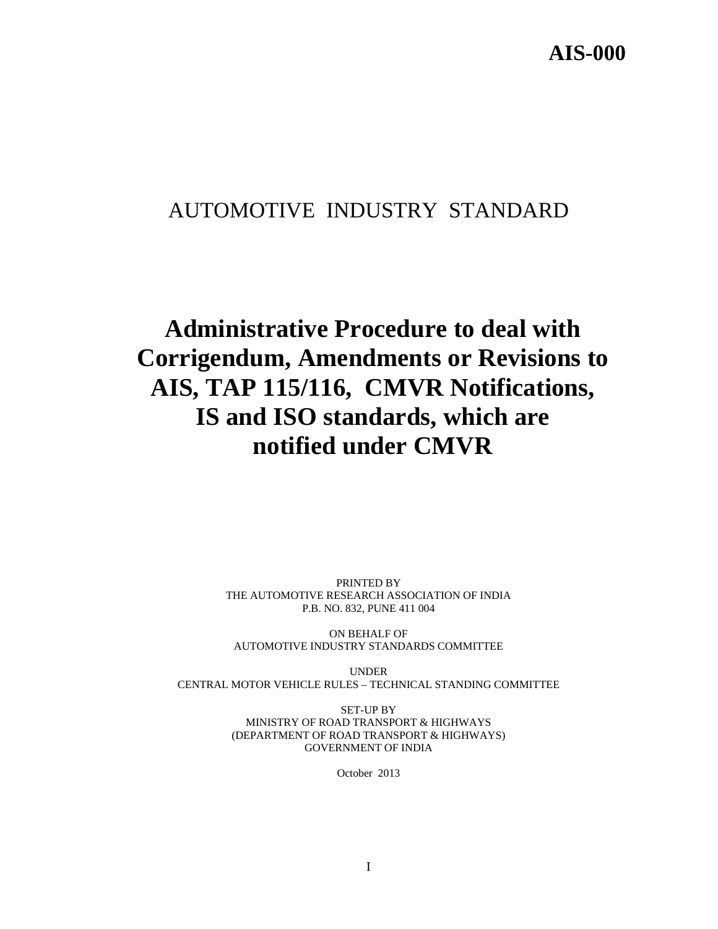# AUTOMOTIVE INDUSTRY STANDARD

# **Administrative Procedure to deal with Corrigendum, Amendments or Revisions to AIS, TAP 115/116, CMVR Notifications, IS and ISO standards, which are notified under CMVR**

PRINTED BY THE AUTOMOTIVE RESEARCH ASSOCIATION OF INDIA P.B. NO. 832, PUNE 411 004

ON BEHALF OF AUTOMOTIVE INDUSTRY STANDARDS COMMITTEE

UNDER CENTRAL MOTOR VEHICLE RULES – TECHNICAL STANDING COMMITTEE

> SET-UP BY MINISTRY OF ROAD TRANSPORT & HIGHWAYS (DEPARTMENT OF ROAD TRANSPORT & HIGHWAYS) GOVERNMENT OF INDIA

> > October 2013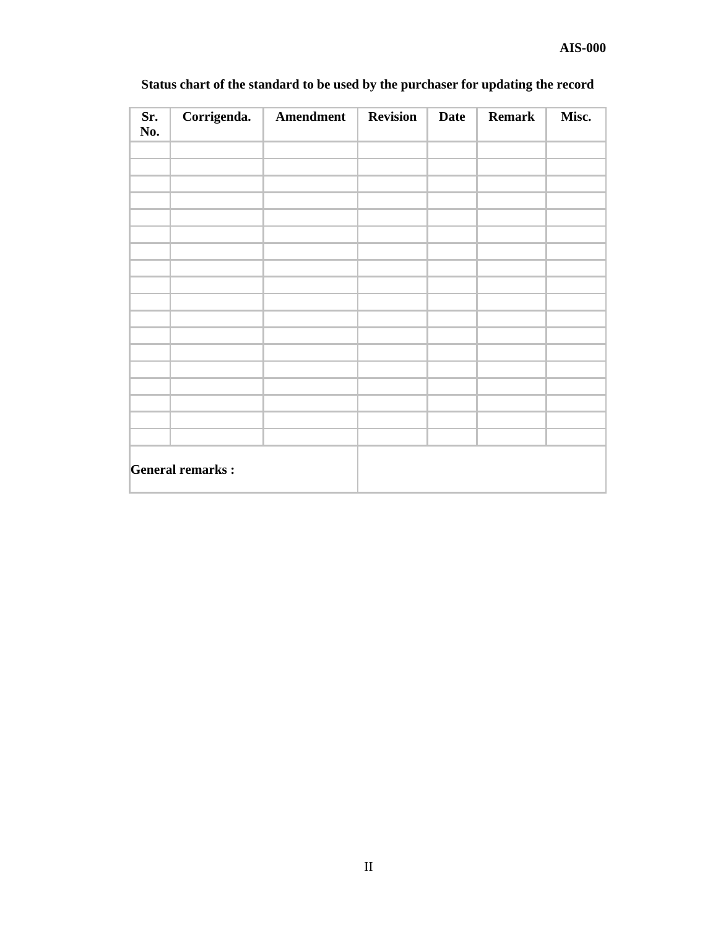| Sr.<br>No.              | Corrigenda. | Amendment | <b>Revision</b> | <b>Date</b> | <b>Remark</b> | Misc. |
|-------------------------|-------------|-----------|-----------------|-------------|---------------|-------|
|                         |             |           |                 |             |               |       |
|                         |             |           |                 |             |               |       |
|                         |             |           |                 |             |               |       |
|                         |             |           |                 |             |               |       |
|                         |             |           |                 |             |               |       |
|                         |             |           |                 |             |               |       |
|                         |             |           |                 |             |               |       |
|                         |             |           |                 |             |               |       |
|                         |             |           |                 |             |               |       |
|                         |             |           |                 |             |               |       |
|                         |             |           |                 |             |               |       |
|                         |             |           |                 |             |               |       |
|                         |             |           |                 |             |               |       |
|                         |             |           |                 |             |               |       |
| <b>General remarks:</b> |             |           |                 |             |               |       |

# **Status chart of the standard to be used by the purchaser for updating the record**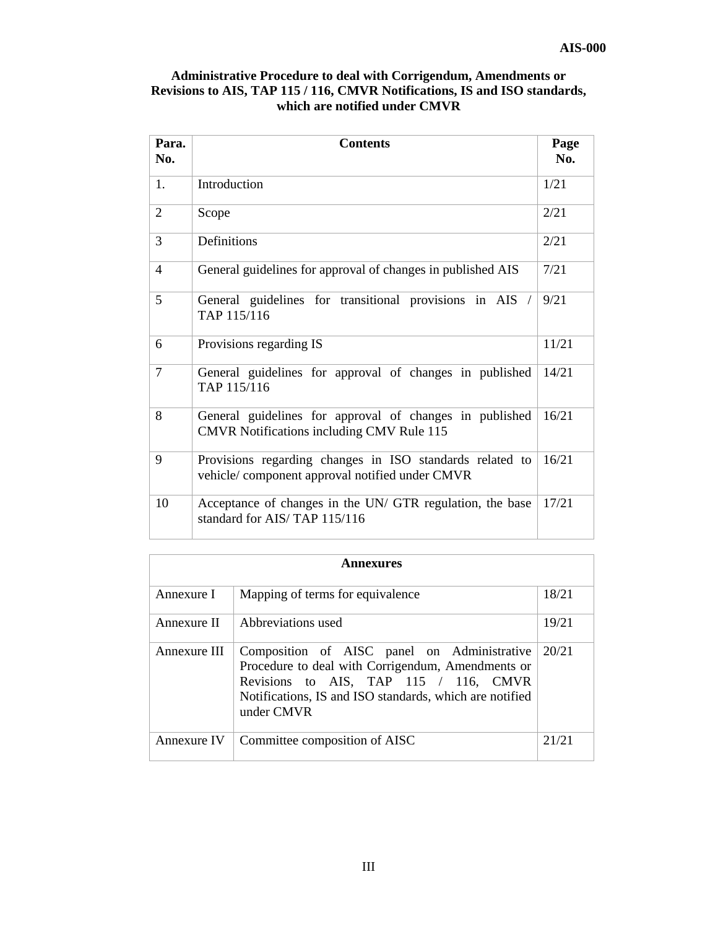| Administrative Procedure to deal with Corrigendum, Amendments or           |
|----------------------------------------------------------------------------|
| Revisions to AIS, TAP 115 / 116, CMVR Notifications, IS and ISO standards, |
| which are notified under CMVR                                              |

| Para.<br>No.   | <b>Contents</b>                                                                                             | Page<br>No. |
|----------------|-------------------------------------------------------------------------------------------------------------|-------------|
| 1.             | Introduction                                                                                                | 1/21        |
| 2              | Scope                                                                                                       | 2/21        |
| 3              | Definitions                                                                                                 | 2/21        |
| $\overline{4}$ | General guidelines for approval of changes in published AIS                                                 | 7/21        |
| 5              | General guidelines for transitional provisions in AIS /<br>TAP 115/116                                      | 9/21        |
| 6              | Provisions regarding IS                                                                                     | 11/21       |
| $\overline{7}$ | General guidelines for approval of changes in published<br>TAP 115/116                                      | 14/21       |
| 8              | General guidelines for approval of changes in published<br><b>CMVR</b> Notifications including CMV Rule 115 | 16/21       |
| 9              | Provisions regarding changes in ISO standards related to<br>vehicle/component approval notified under CMVR  | 16/21       |
| 10             | Acceptance of changes in the UN/ GTR regulation, the base<br>standard for AIS/TAP 115/116                   | 17/21       |

| Annexures    |                                                                                                                                                                                                                    |       |
|--------------|--------------------------------------------------------------------------------------------------------------------------------------------------------------------------------------------------------------------|-------|
| Annexure I   | Mapping of terms for equivalence                                                                                                                                                                                   | 18/21 |
| Annexure II  | Abbreviations used                                                                                                                                                                                                 | 19/21 |
| Annexure III | Composition of AISC panel on Administrative<br>Procedure to deal with Corrigendum, Amendments or<br>Revisions to AIS, TAP 115 / 116, CMVR<br>Notifications, IS and ISO standards, which are notified<br>under CMVR | 20/21 |
| Annexure IV  | Committee composition of AISC                                                                                                                                                                                      | 21/21 |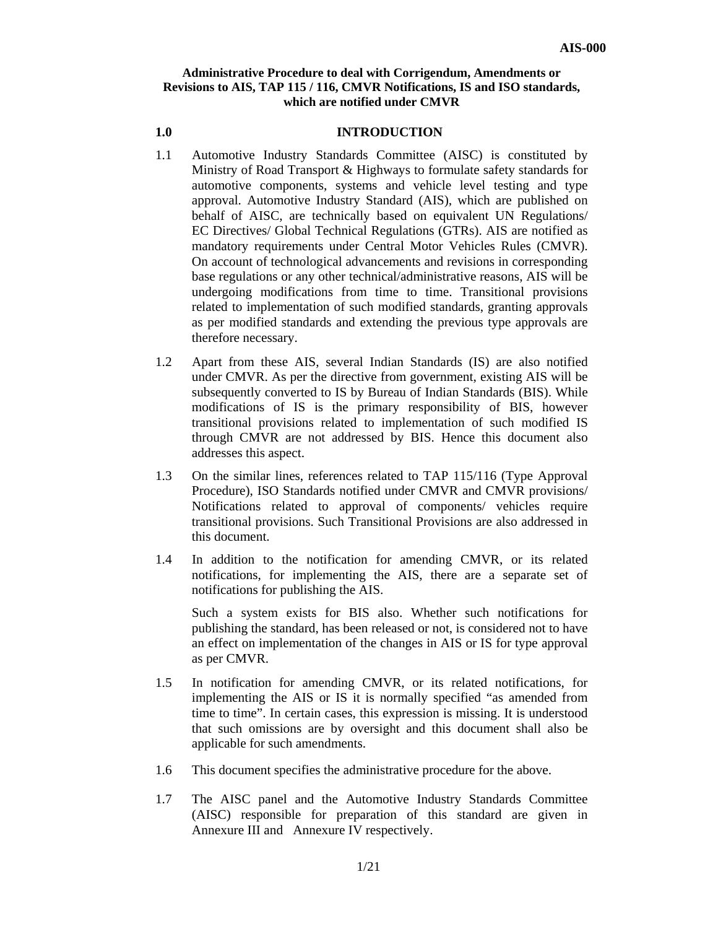## **Administrative Procedure to deal with Corrigendum, Amendments or Revisions to AIS, TAP 115 / 116, CMVR Notifications, IS and ISO standards, which are notified under CMVR**

#### **1.0 INTRODUCTION**

- 1.1 Automotive Industry Standards Committee (AISC) is constituted by Ministry of Road Transport & Highways to formulate safety standards for automotive components, systems and vehicle level testing and type approval. Automotive Industry Standard (AIS), which are published on behalf of AISC, are technically based on equivalent UN Regulations/ EC Directives/ Global Technical Regulations (GTRs). AIS are notified as mandatory requirements under Central Motor Vehicles Rules (CMVR). On account of technological advancements and revisions in corresponding base regulations or any other technical/administrative reasons, AIS will be undergoing modifications from time to time. Transitional provisions related to implementation of such modified standards, granting approvals as per modified standards and extending the previous type approvals are therefore necessary.
- 1.2 Apart from these AIS, several Indian Standards (IS) are also notified under CMVR. As per the directive from government, existing AIS will be subsequently converted to IS by Bureau of Indian Standards (BIS). While modifications of IS is the primary responsibility of BIS, however transitional provisions related to implementation of such modified IS through CMVR are not addressed by BIS. Hence this document also addresses this aspect.
- 1.3 On the similar lines, references related to TAP 115/116 (Type Approval Procedure), ISO Standards notified under CMVR and CMVR provisions/ Notifications related to approval of components/ vehicles require transitional provisions. Such Transitional Provisions are also addressed in this document.
- 1.4 In addition to the notification for amending CMVR, or its related notifications, for implementing the AIS, there are a separate set of notifications for publishing the AIS.

 Such a system exists for BIS also. Whether such notifications for publishing the standard, has been released or not, is considered not to have an effect on implementation of the changes in AIS or IS for type approval as per CMVR.

- 1.5 In notification for amending CMVR, or its related notifications, for implementing the AIS or IS it is normally specified "as amended from time to time". In certain cases, this expression is missing. It is understood that such omissions are by oversight and this document shall also be applicable for such amendments.
- 1.6 This document specifies the administrative procedure for the above.
- 1.7 The AISC panel and the Automotive Industry Standards Committee (AISC) responsible for preparation of this standard are given in Annexure III and Annexure IV respectively.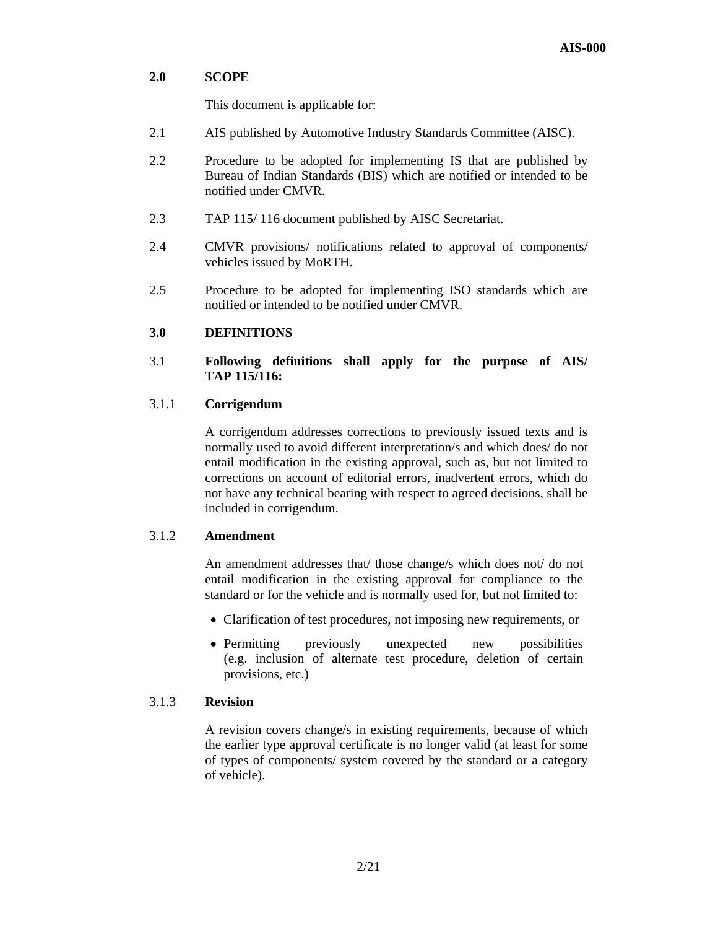## **2.0 SCOPE**

This document is applicable for:

- 2.1 AIS published by Automotive Industry Standards Committee (AISC).
- 2.2 Procedure to be adopted for implementing IS that are published by Bureau of Indian Standards (BIS) which are notified or intended to be notified under CMVR.
- 2.3 TAP 115/ 116 document published by AISC Secretariat.
- 2.4 CMVR provisions/ notifications related to approval of components/ vehicles issued by MoRTH.
- 2.5 Procedure to be adopted for implementing ISO standards which are notified or intended to be notified under CMVR.

## **3.0 DEFINITIONS**

## 3.1 **Following definitions shall apply for the purpose of AIS/ TAP 115/116:**

## 3.1.1 **Corrigendum**

 A corrigendum addresses corrections to previously issued texts and is normally used to avoid different interpretation/s and which does/ do not entail modification in the existing approval, such as, but not limited to corrections on account of editorial errors, inadvertent errors, which do not have any technical bearing with respect to agreed decisions, shall be included in corrigendum.

## 3.1.2 **Amendment**

 An amendment addresses that/ those change/s which does not/ do not entail modification in the existing approval for compliance to the standard or for the vehicle and is normally used for, but not limited to:

- Clarification of test procedures, not imposing new requirements, or
- Permitting previously unexpected new possibilities (e.g. inclusion of alternate test procedure, deletion of certain provisions, etc.)

### 3.1.3 **Revision**

A revision covers change/s in existing requirements, because of which the earlier type approval certificate is no longer valid (at least for some of types of components/ system covered by the standard or a category of vehicle).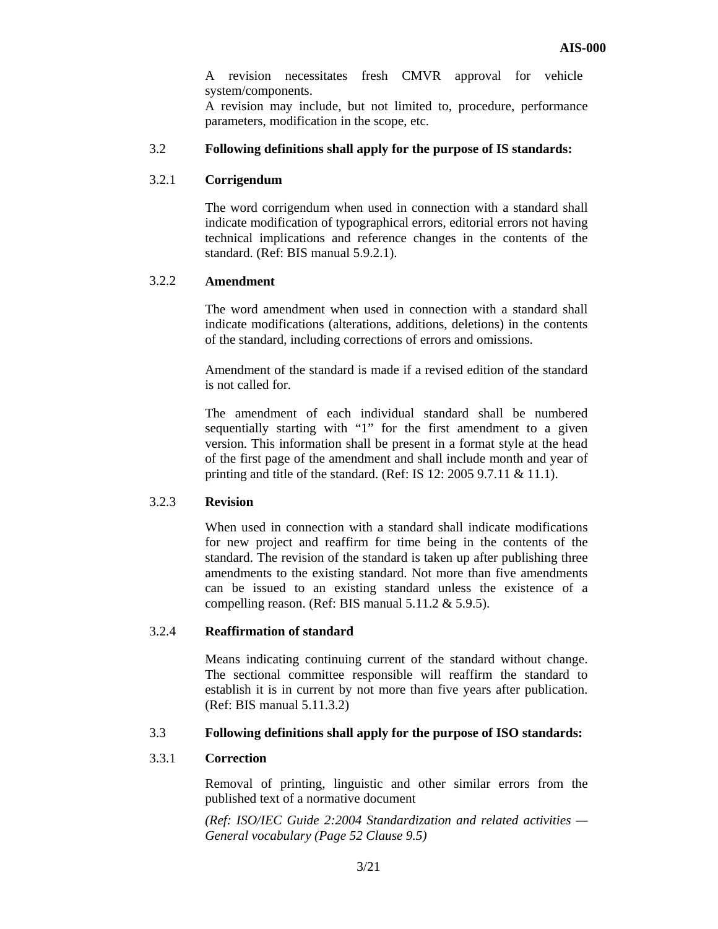A revision necessitates fresh CMVR approval for vehicle system/components.

A revision may include, but not limited to, procedure, performance parameters, modification in the scope, etc.

## 3.2 **Following definitions shall apply for the purpose of IS standards:**

#### 3.2.1 **Corrigendum**

The word corrigendum when used in connection with a standard shall indicate modification of typographical errors, editorial errors not having technical implications and reference changes in the contents of the standard. (Ref: BIS manual 5.9.2.1).

## 3.2.2 **Amendment**

The word amendment when used in connection with a standard shall indicate modifications (alterations, additions, deletions) in the contents of the standard, including corrections of errors and omissions.

Amendment of the standard is made if a revised edition of the standard is not called for.

The amendment of each individual standard shall be numbered sequentially starting with "1" for the first amendment to a given version. This information shall be present in a format style at the head of the first page of the amendment and shall include month and year of printing and title of the standard. (Ref: IS 12: 2005 9.7.11 & 11.1).

#### 3.2.3 **Revision**

When used in connection with a standard shall indicate modifications for new project and reaffirm for time being in the contents of the standard. The revision of the standard is taken up after publishing three amendments to the existing standard. Not more than five amendments can be issued to an existing standard unless the existence of a compelling reason. (Ref: BIS manual 5.11.2 & 5.9.5).

#### 3.2.4 **Reaffirmation of standard**

Means indicating continuing current of the standard without change. The sectional committee responsible will reaffirm the standard to establish it is in current by not more than five years after publication. (Ref: BIS manual 5.11.3.2)

#### 3.3 **Following definitions shall apply for the purpose of ISO standards:**

#### 3.3.1 **Correction**

Removal of printing, linguistic and other similar errors from the published text of a normative document

*(Ref: ISO/IEC Guide 2:2004 Standardization and related activities — General vocabulary (Page 52 Clause 9.5)*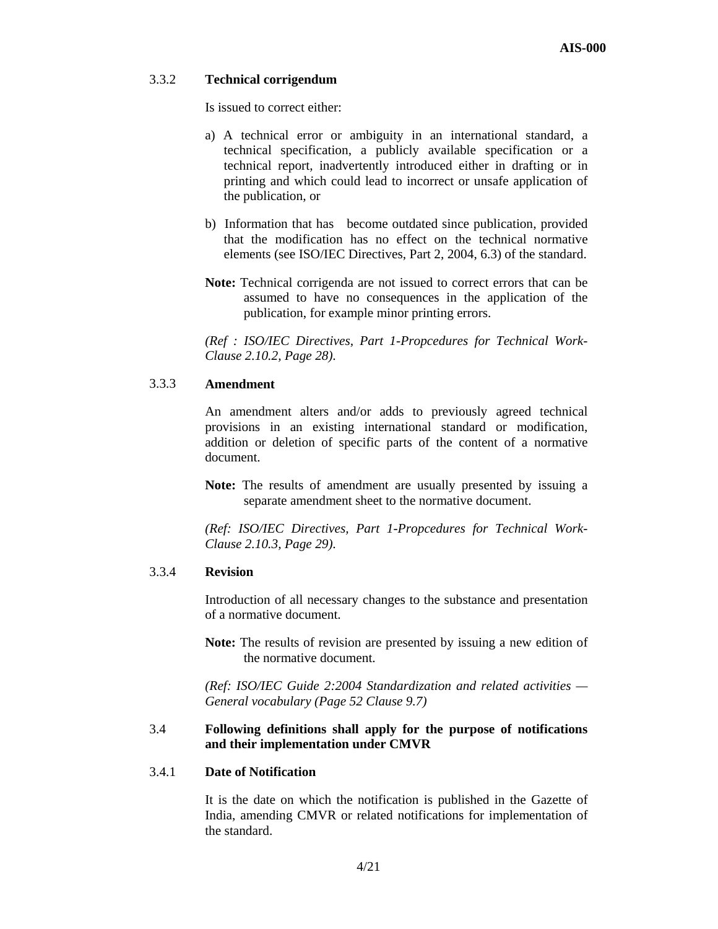## 3.3.2 **Technical corrigendum**

Is issued to correct either:

- a) A technical error or ambiguity in an international standard, a technical specification, a publicly available specification or a technical report, inadvertently introduced either in drafting or in printing and which could lead to incorrect or unsafe application of the publication, or
- b) Information that has become outdated since publication, provided that the modification has no effect on the technical normative elements (see ISO/IEC Directives, Part 2, 2004, 6.3) of the standard.
- **Note:** Technical corrigenda are not issued to correct errors that can be assumed to have no consequences in the application of the publication, for example minor printing errors.

*(Ref : ISO/IEC Directives, Part 1-Propcedures for Technical Work-Clause 2.10.2, Page 28).* 

### 3.3.3 **Amendment**

An amendment alters and/or adds to previously agreed technical provisions in an existing international standard or modification, addition or deletion of specific parts of the content of a normative document.

**Note:** The results of amendment are usually presented by issuing a separate amendment sheet to the normative document.

*(Ref: ISO/IEC Directives, Part 1-Propcedures for Technical Work-Clause 2.10.3, Page 29).* 

### 3.3.4 **Revision**

Introduction of all necessary changes to the substance and presentation of a normative document.

**Note:** The results of revision are presented by issuing a new edition of the normative document.

*(Ref: ISO/IEC Guide 2:2004 Standardization and related activities — General vocabulary (Page 52 Clause 9.7)* 

## 3.4 **Following definitions shall apply for the purpose of notifications and their implementation under CMVR**

### 3.4.1 **Date of Notification**

It is the date on which the notification is published in the Gazette of India, amending CMVR or related notifications for implementation of the standard.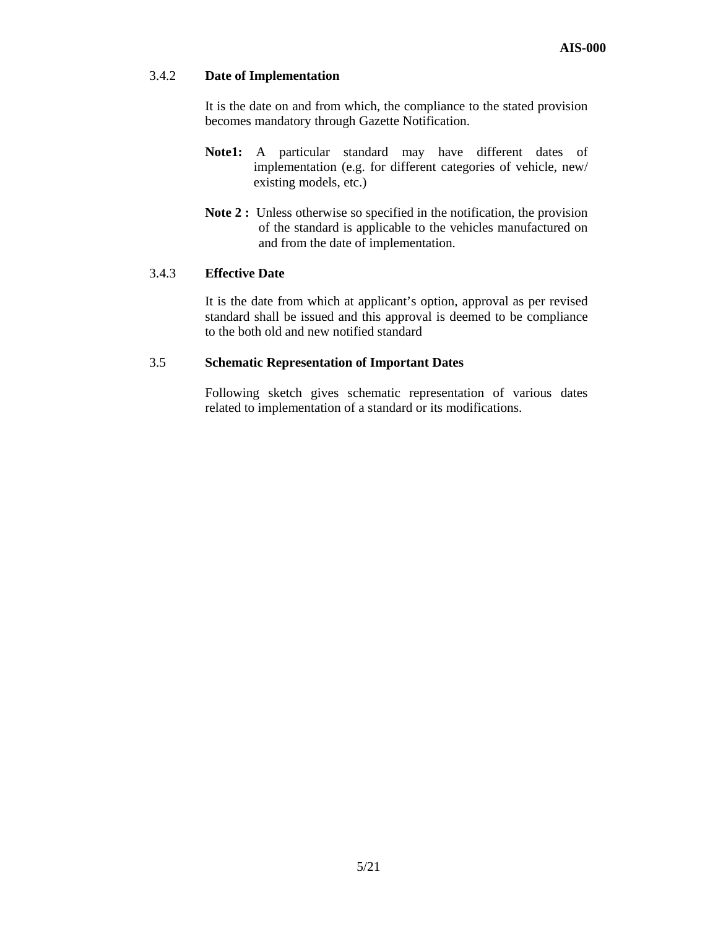## 3.4.2 **Date of Implementation**

It is the date on and from which, the compliance to the stated provision becomes mandatory through Gazette Notification.

- **Note1:** A particular standard may have different dates of implementation (e.g. for different categories of vehicle, new/ existing models, etc.)
- Note 2 : Unless otherwise so specified in the notification, the provision of the standard is applicable to the vehicles manufactured on and from the date of implementation.

#### 3.4.3 **Effective Date**

It is the date from which at applicant's option, approval as per revised standard shall be issued and this approval is deemed to be compliance to the both old and new notified standard

#### 3.5 **Schematic Representation of Important Dates**

Following sketch gives schematic representation of various dates related to implementation of a standard or its modifications.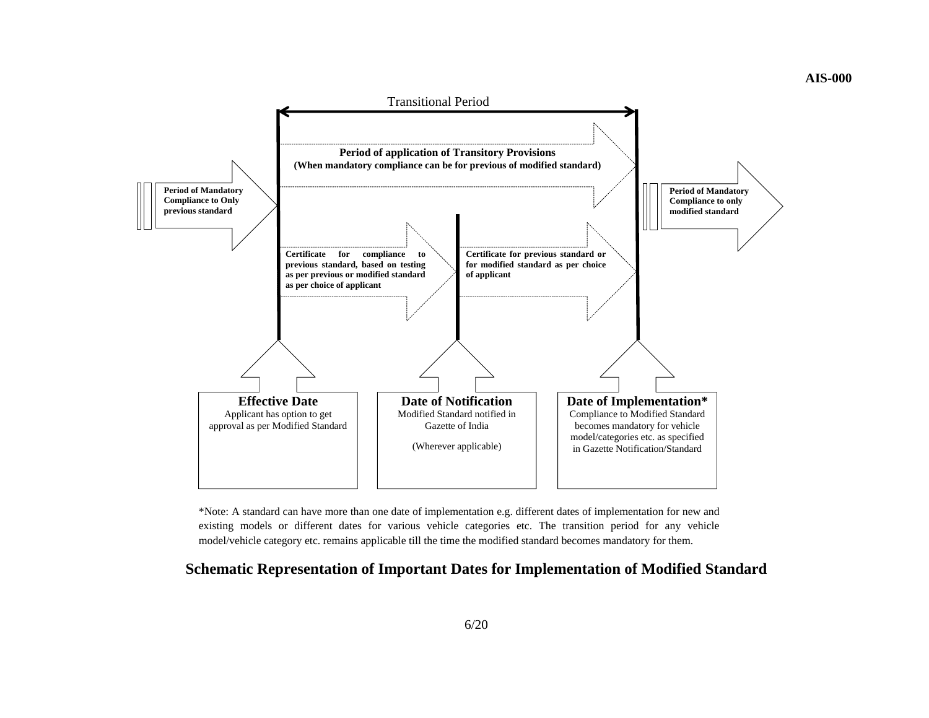



\*Note: A standard can have more than one date of implementation e.g. different dates of implementation for new and existing models or different dates for various vehicle categories etc. The transition period for any vehicle model/vehicle category etc. remains applicable till the time the modified standard becomes mandatory for them.

## **Schematic Representation of Important Dates for Implementation of Modified Standard**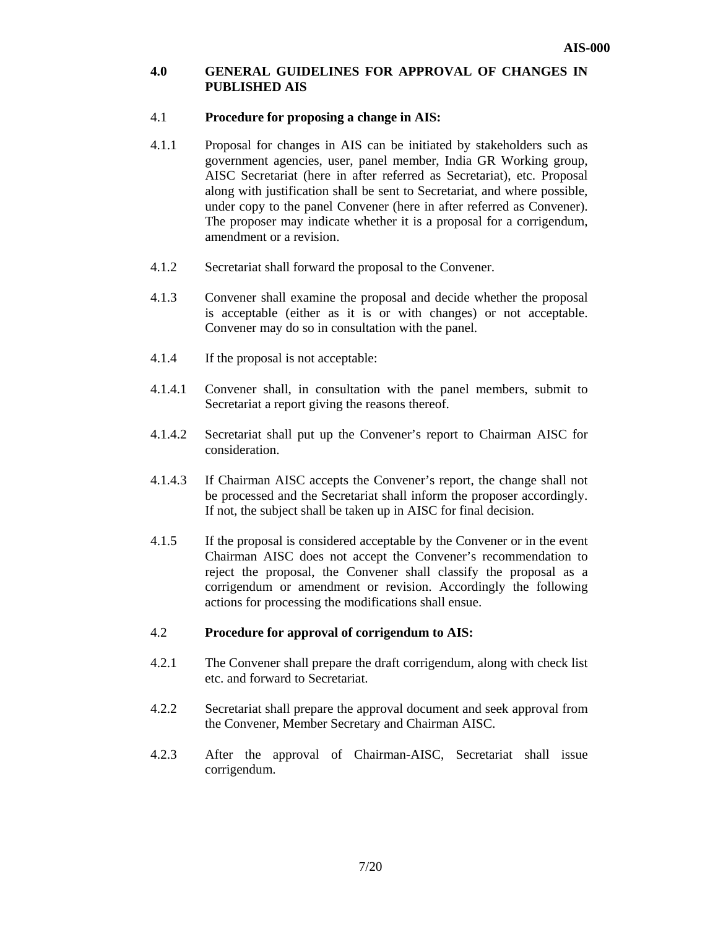## **4.0 GENERAL GUIDELINES FOR APPROVAL OF CHANGES IN PUBLISHED AIS**

## 4.1 **Procedure for proposing a change in AIS:**

- 4.1.1 Proposal for changes in AIS can be initiated by stakeholders such as government agencies, user, panel member, India GR Working group, AISC Secretariat (here in after referred as Secretariat), etc. Proposal along with justification shall be sent to Secretariat, and where possible, under copy to the panel Convener (here in after referred as Convener). The proposer may indicate whether it is a proposal for a corrigendum, amendment or a revision.
- 4.1.2 Secretariat shall forward the proposal to the Convener.
- 4.1.3 Convener shall examine the proposal and decide whether the proposal is acceptable (either as it is or with changes) or not acceptable. Convener may do so in consultation with the panel.
- 4.1.4 If the proposal is not acceptable:
- 4.1.4.1 Convener shall, in consultation with the panel members, submit to Secretariat a report giving the reasons thereof.
- 4.1.4.2 Secretariat shall put up the Convener's report to Chairman AISC for consideration.
- 4.1.4.3 If Chairman AISC accepts the Convener's report, the change shall not be processed and the Secretariat shall inform the proposer accordingly. If not, the subject shall be taken up in AISC for final decision.
- 4.1.5 If the proposal is considered acceptable by the Convener or in the event Chairman AISC does not accept the Convener's recommendation to reject the proposal, the Convener shall classify the proposal as a corrigendum or amendment or revision. Accordingly the following actions for processing the modifications shall ensue.

### 4.2 **Procedure for approval of corrigendum to AIS:**

- 4.2.1 The Convener shall prepare the draft corrigendum, along with check list etc. and forward to Secretariat.
- 4.2.2 Secretariat shall prepare the approval document and seek approval from the Convener, Member Secretary and Chairman AISC.
- 4.2.3 After the approval of Chairman-AISC, Secretariat shall issue corrigendum.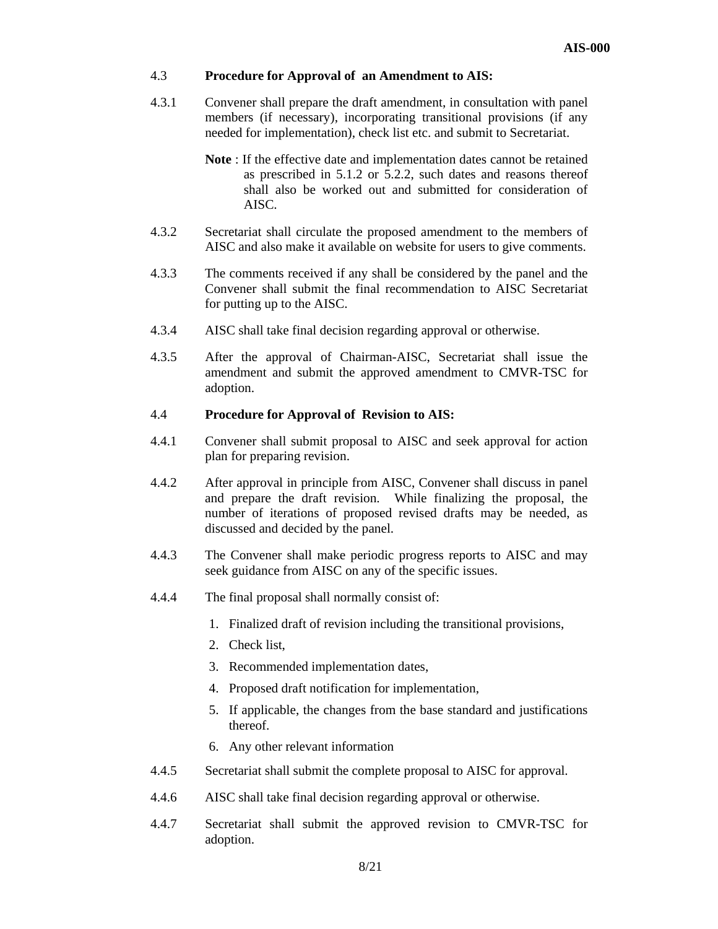#### 4.3 **Procedure for Approval of an Amendment to AIS:**

- 4.3.1 Convener shall prepare the draft amendment, in consultation with panel members (if necessary), incorporating transitional provisions (if any needed for implementation), check list etc. and submit to Secretariat.
	- **Note** : If the effective date and implementation dates cannot be retained as prescribed in 5.1.2 or 5.2.2, such dates and reasons thereof shall also be worked out and submitted for consideration of AISC.
- 4.3.2 Secretariat shall circulate the proposed amendment to the members of AISC and also make it available on website for users to give comments.
- 4.3.3 The comments received if any shall be considered by the panel and the Convener shall submit the final recommendation to AISC Secretariat for putting up to the AISC.
- 4.3.4 AISC shall take final decision regarding approval or otherwise.
- 4.3.5 After the approval of Chairman-AISC, Secretariat shall issue the amendment and submit the approved amendment to CMVR-TSC for adoption.

## 4.4 **Procedure for Approval of Revision to AIS:**

- 4.4.1 Convener shall submit proposal to AISC and seek approval for action plan for preparing revision.
- 4.4.2 After approval in principle from AISC, Convener shall discuss in panel and prepare the draft revision. While finalizing the proposal, the number of iterations of proposed revised drafts may be needed, as discussed and decided by the panel.
- 4.4.3 The Convener shall make periodic progress reports to AISC and may seek guidance from AISC on any of the specific issues.
- 4.4.4 The final proposal shall normally consist of:
	- 1. Finalized draft of revision including the transitional provisions,
	- 2. Check list,
	- 3. Recommended implementation dates,
	- 4. Proposed draft notification for implementation,
	- 5. If applicable, the changes from the base standard and justifications thereof.
	- 6. Any other relevant information
- 4.4.5 Secretariat shall submit the complete proposal to AISC for approval.
- 4.4.6 AISC shall take final decision regarding approval or otherwise.
- 4.4.7 Secretariat shall submit the approved revision to CMVR-TSC for adoption.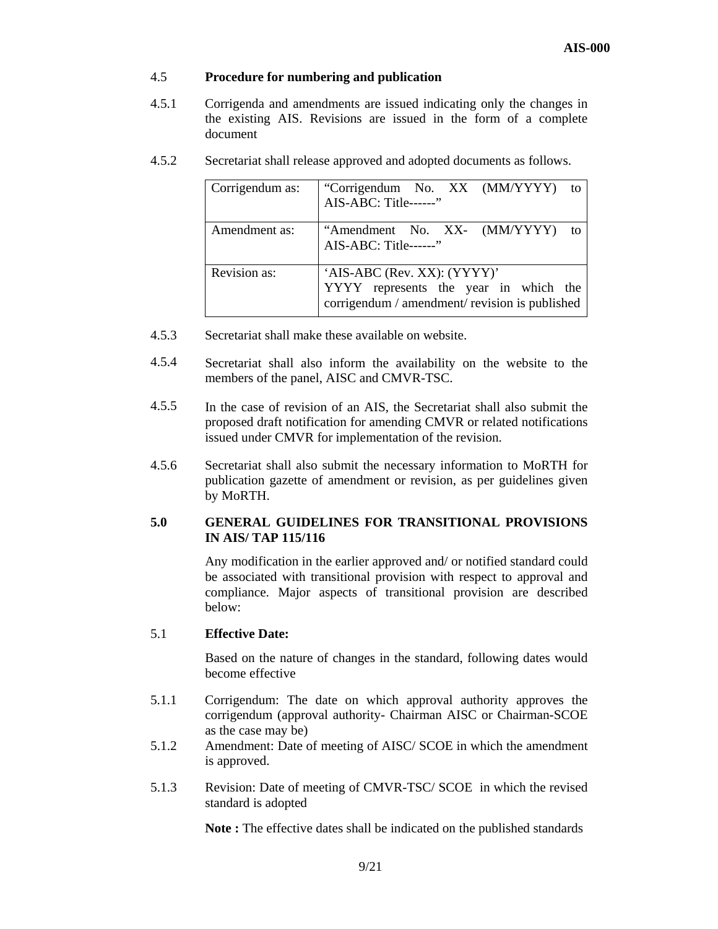## 4.5 **Procedure for numbering and publication**

- 4.5.1 Corrigenda and amendments are issued indicating only the changes in the existing AIS. Revisions are issued in the form of a complete document
- 4.5.2 Secretariat shall release approved and adopted documents as follows.

| Corrigendum as: | "Corrigendum No. XX (MM/YYYY)<br>to<br>AIS-ABC: Title------"                                                           |  |
|-----------------|------------------------------------------------------------------------------------------------------------------------|--|
| Amendment as:   | "Amendment No. XX- (MM/YYYY)<br>$f_{\Omega}$<br>AIS-ABC: Title------"                                                  |  |
| Revision as:    | 'AIS-ABC (Rev. XX): (YYYY)'<br>YYYY represents the year in which the<br>corrigendum / amendment/ revision is published |  |

- 4.5.3 Secretariat shall make these available on website.
- 4.5.4 Secretariat shall also inform the availability on the website to the members of the panel, AISC and CMVR-TSC.
- 4.5.5 In the case of revision of an AIS, the Secretariat shall also submit the proposed draft notification for amending CMVR or related notifications issued under CMVR for implementation of the revision.
- 4.5.6 Secretariat shall also submit the necessary information to MoRTH for publication gazette of amendment or revision, as per guidelines given by MoRTH.

## **5.0 GENERAL GUIDELINES FOR TRANSITIONAL PROVISIONS IN AIS/ TAP 115/116**

 Any modification in the earlier approved and/ or notified standard could be associated with transitional provision with respect to approval and compliance. Major aspects of transitional provision are described below:

## 5.1 **Effective Date:**

 Based on the nature of changes in the standard, following dates would become effective

- 5.1.1 Corrigendum: The date on which approval authority approves the corrigendum (approval authority- Chairman AISC or Chairman-SCOE as the case may be)
- 5.1.2 Amendment: Date of meeting of AISC/ SCOE in which the amendment is approved.
- 5.1.3 Revision: Date of meeting of CMVR-TSC/ SCOE in which the revised standard is adopted

**Note :** The effective dates shall be indicated on the published standards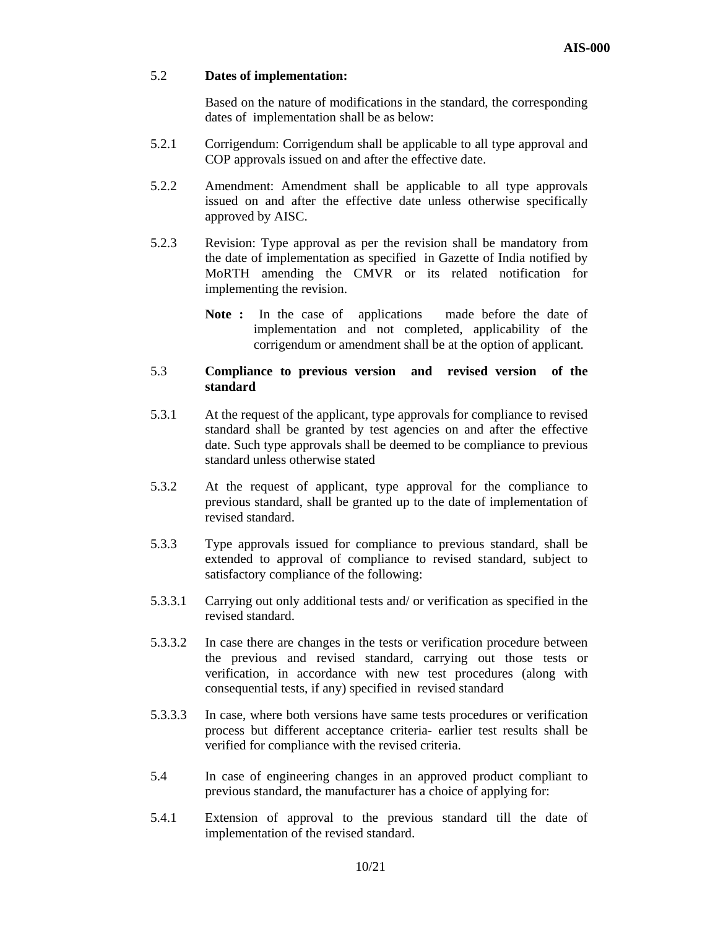### 5.2 **Dates of implementation:**

 Based on the nature of modifications in the standard, the corresponding dates of implementation shall be as below:

- 5.2.1 Corrigendum: Corrigendum shall be applicable to all type approval and COP approvals issued on and after the effective date.
- 5.2.2 Amendment: Amendment shall be applicable to all type approvals issued on and after the effective date unless otherwise specifically approved by AISC.
- 5.2.3 Revision: Type approval as per the revision shall be mandatory from the date of implementation as specified in Gazette of India notified by MoRTH amending the CMVR or its related notification for implementing the revision.
	- Note : In the case of applications made before the date of implementation and not completed, applicability of the corrigendum or amendment shall be at the option of applicant.

## 5.3 **Compliance to previous version and revised version of the standard**

- 5.3.1 At the request of the applicant, type approvals for compliance to revised standard shall be granted by test agencies on and after the effective date. Such type approvals shall be deemed to be compliance to previous standard unless otherwise stated
- 5.3.2 At the request of applicant, type approval for the compliance to previous standard, shall be granted up to the date of implementation of revised standard.
- 5.3.3 Type approvals issued for compliance to previous standard, shall be extended to approval of compliance to revised standard, subject to satisfactory compliance of the following:
- 5.3.3.1 Carrying out only additional tests and/ or verification as specified in the revised standard.
- 5.3.3.2 In case there are changes in the tests or verification procedure between the previous and revised standard, carrying out those tests or verification, in accordance with new test procedures (along with consequential tests, if any) specified in revised standard
- 5.3.3.3 In case, where both versions have same tests procedures or verification process but different acceptance criteria- earlier test results shall be verified for compliance with the revised criteria.
- 5.4 In case of engineering changes in an approved product compliant to previous standard, the manufacturer has a choice of applying for:
- 5.4.1 Extension of approval to the previous standard till the date of implementation of the revised standard.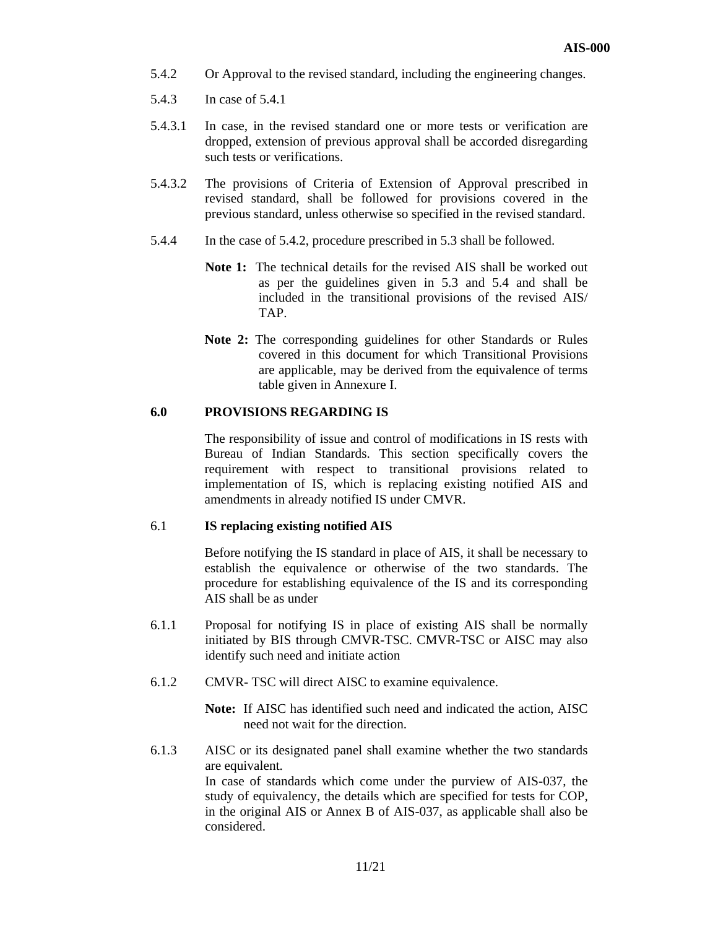- 5.4.2 Or Approval to the revised standard, including the engineering changes.
- 5.4.3 In case of 5.4.1
- 5.4.3.1 In case, in the revised standard one or more tests or verification are dropped, extension of previous approval shall be accorded disregarding such tests or verifications.
- 5.4.3.2 The provisions of Criteria of Extension of Approval prescribed in revised standard, shall be followed for provisions covered in the previous standard, unless otherwise so specified in the revised standard.
- 5.4.4 In the case of 5.4.2, procedure prescribed in 5.3 shall be followed.
	- **Note 1:** The technical details for the revised AIS shall be worked out as per the guidelines given in 5.3 and 5.4 and shall be included in the transitional provisions of the revised AIS/ TAP.
	- **Note 2:** The corresponding guidelines for other Standards or Rules covered in this document for which Transitional Provisions are applicable, may be derived from the equivalence of terms table given in Annexure I.

#### **6.0 PROVISIONS REGARDING IS**

 The responsibility of issue and control of modifications in IS rests with Bureau of Indian Standards. This section specifically covers the requirement with respect to transitional provisions related to implementation of IS, which is replacing existing notified AIS and amendments in already notified IS under CMVR.

### 6.1 **IS replacing existing notified AIS**

 Before notifying the IS standard in place of AIS, it shall be necessary to establish the equivalence or otherwise of the two standards. The procedure for establishing equivalence of the IS and its corresponding AIS shall be as under

- 6.1.1 Proposal for notifying IS in place of existing AIS shall be normally initiated by BIS through CMVR-TSC. CMVR-TSC or AISC may also identify such need and initiate action
- 6.1.2 CMVR- TSC will direct AISC to examine equivalence.

**Note:** If AISC has identified such need and indicated the action, AISC need not wait for the direction.

6.1.3 AISC or its designated panel shall examine whether the two standards are equivalent.

> In case of standards which come under the purview of AIS-037, the study of equivalency, the details which are specified for tests for COP, in the original AIS or Annex B of AIS-037, as applicable shall also be considered.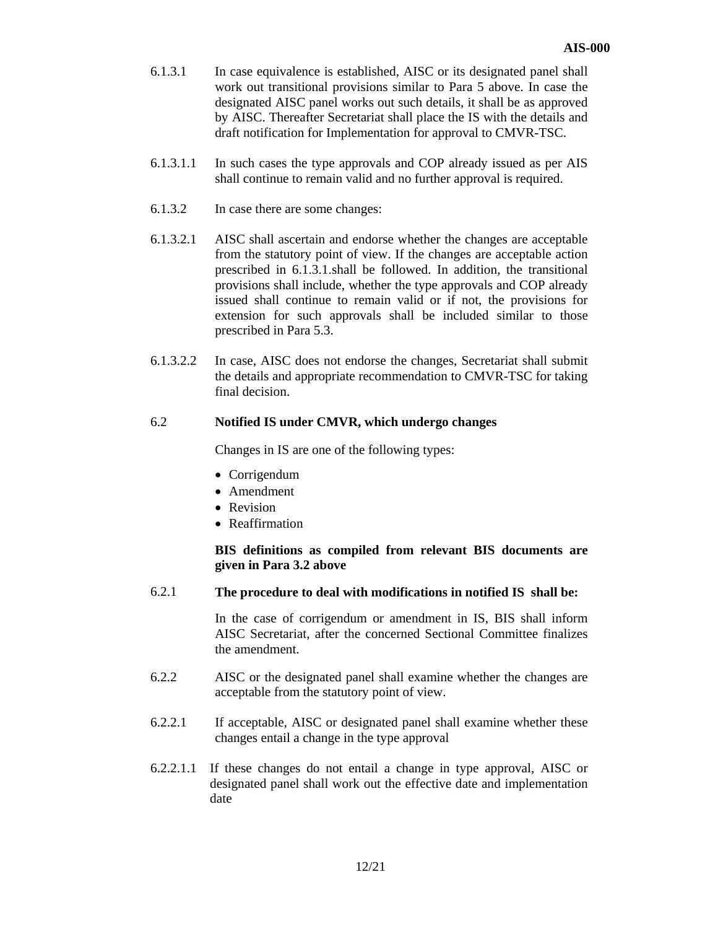- 6.1.3.1 In case equivalence is established, AISC or its designated panel shall work out transitional provisions similar to Para 5 above. In case the designated AISC panel works out such details, it shall be as approved by AISC. Thereafter Secretariat shall place the IS with the details and draft notification for Implementation for approval to CMVR-TSC.
- 6.1.3.1.1 In such cases the type approvals and COP already issued as per AIS shall continue to remain valid and no further approval is required.
- 6.1.3.2 In case there are some changes:
- 6.1.3.2.1 AISC shall ascertain and endorse whether the changes are acceptable from the statutory point of view. If the changes are acceptable action prescribed in 6.1.3.1.shall be followed. In addition, the transitional provisions shall include, whether the type approvals and COP already issued shall continue to remain valid or if not, the provisions for extension for such approvals shall be included similar to those prescribed in Para 5.3.
- 6.1.3.2.2 In case, AISC does not endorse the changes, Secretariat shall submit the details and appropriate recommendation to CMVR-TSC for taking final decision.

## 6.2 **Notified IS under CMVR, which undergo changes**

Changes in IS are one of the following types:

- Corrigendum
- Amendment
- Revision
- Reaffirmation

## **BIS definitions as compiled from relevant BIS documents are given in Para 3.2 above**

### 6.2.1 **The procedure to deal with modifications in notified IS shall be:**

 In the case of corrigendum or amendment in IS, BIS shall inform AISC Secretariat, after the concerned Sectional Committee finalizes the amendment.

- 6.2.2 AISC or the designated panel shall examine whether the changes are acceptable from the statutory point of view.
- 6.2.2.1 If acceptable, AISC or designated panel shall examine whether these changes entail a change in the type approval
- 6.2.2.1.1 If these changes do not entail a change in type approval, AISC or designated panel shall work out the effective date and implementation date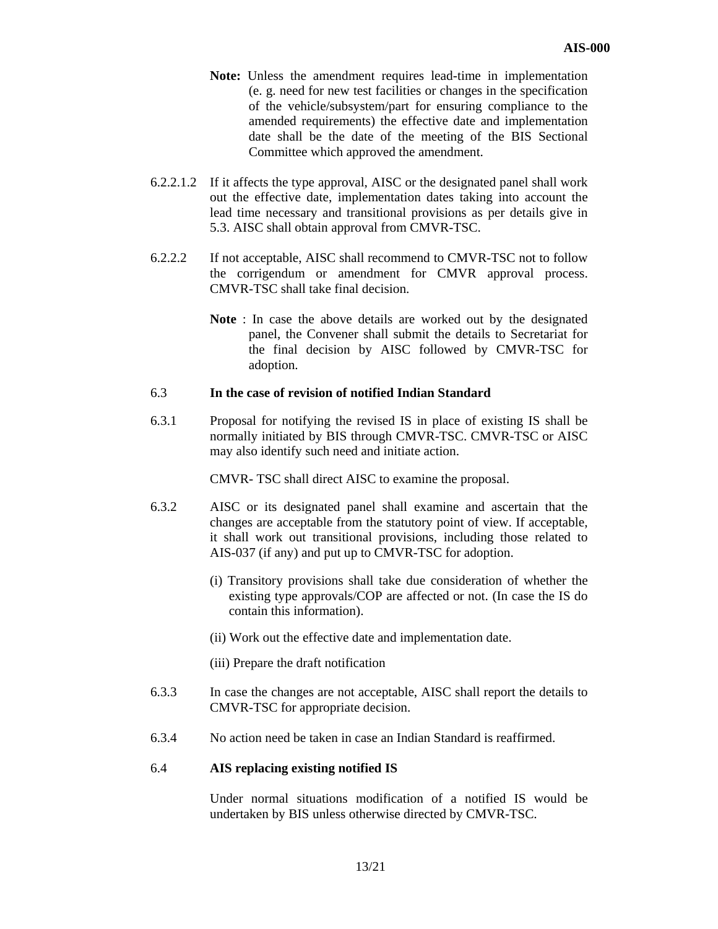- **Note:** Unless the amendment requires lead-time in implementation (e. g. need for new test facilities or changes in the specification of the vehicle/subsystem/part for ensuring compliance to the amended requirements) the effective date and implementation date shall be the date of the meeting of the BIS Sectional Committee which approved the amendment.
- 6.2.2.1.2 If it affects the type approval, AISC or the designated panel shall work out the effective date, implementation dates taking into account the lead time necessary and transitional provisions as per details give in 5.3. AISC shall obtain approval from CMVR-TSC.
- 6.2.2.2 If not acceptable, AISC shall recommend to CMVR-TSC not to follow the corrigendum or amendment for CMVR approval process. CMVR-TSC shall take final decision.
	- **Note** : In case the above details are worked out by the designated panel, the Convener shall submit the details to Secretariat for the final decision by AISC followed by CMVR-TSC for adoption.

#### 6.3 **In the case of revision of notified Indian Standard**

6.3.1 Proposal for notifying the revised IS in place of existing IS shall be normally initiated by BIS through CMVR-TSC. CMVR-TSC or AISC may also identify such need and initiate action.

CMVR- TSC shall direct AISC to examine the proposal.

- 6.3.2 AISC or its designated panel shall examine and ascertain that the changes are acceptable from the statutory point of view. If acceptable, it shall work out transitional provisions, including those related to AIS-037 (if any) and put up to CMVR-TSC for adoption.
	- (i) Transitory provisions shall take due consideration of whether the existing type approvals/COP are affected or not. (In case the IS do contain this information).
	- (ii) Work out the effective date and implementation date.
	- (iii) Prepare the draft notification
- 6.3.3 In case the changes are not acceptable, AISC shall report the details to CMVR-TSC for appropriate decision.
- 6.3.4 No action need be taken in case an Indian Standard is reaffirmed.

### 6.4 **AIS replacing existing notified IS**

 Under normal situations modification of a notified IS would be undertaken by BIS unless otherwise directed by CMVR-TSC.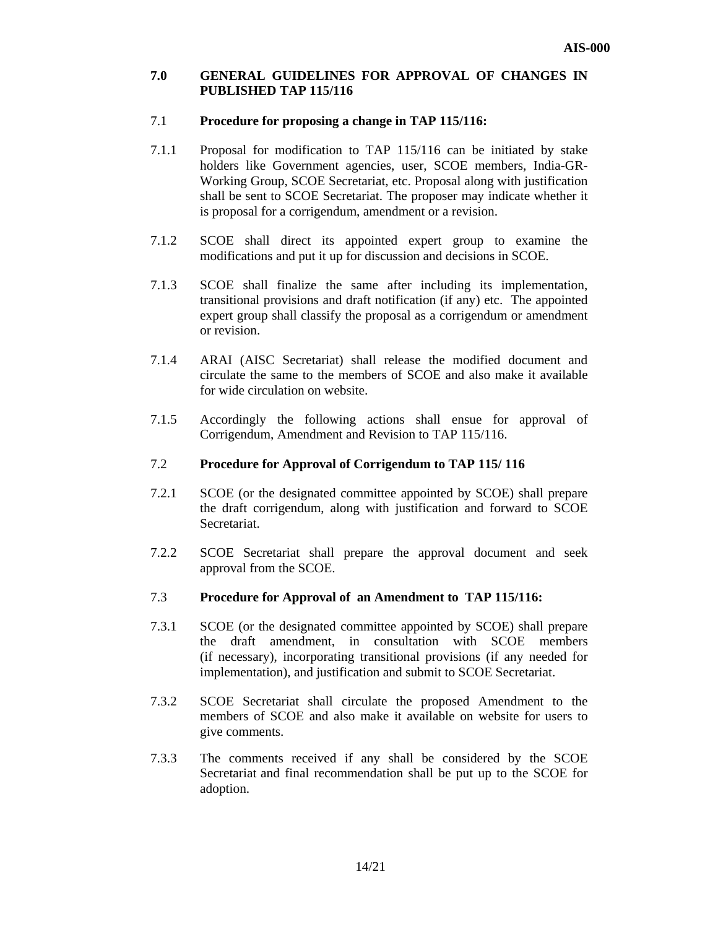### **7.0 GENERAL GUIDELINES FOR APPROVAL OF CHANGES IN PUBLISHED TAP 115/116**

#### 7.1 **Procedure for proposing a change in TAP 115/116:**

- 7.1.1 Proposal for modification to TAP 115/116 can be initiated by stake holders like Government agencies, user, SCOE members, India-GR-Working Group, SCOE Secretariat, etc. Proposal along with justification shall be sent to SCOE Secretariat. The proposer may indicate whether it is proposal for a corrigendum, amendment or a revision.
- 7.1.2 SCOE shall direct its appointed expert group to examine the modifications and put it up for discussion and decisions in SCOE.
- 7.1.3 SCOE shall finalize the same after including its implementation, transitional provisions and draft notification (if any) etc. The appointed expert group shall classify the proposal as a corrigendum or amendment or revision.
- 7.1.4 ARAI (AISC Secretariat) shall release the modified document and circulate the same to the members of SCOE and also make it available for wide circulation on website.
- 7.1.5 Accordingly the following actions shall ensue for approval of Corrigendum, Amendment and Revision to TAP 115/116.

#### 7.2 **Procedure for Approval of Corrigendum to TAP 115/ 116**

- 7.2.1 SCOE (or the designated committee appointed by SCOE) shall prepare the draft corrigendum, along with justification and forward to SCOE Secretariat.
- 7.2.2 SCOE Secretariat shall prepare the approval document and seek approval from the SCOE.

### 7.3 **Procedure for Approval of an Amendment to TAP 115/116:**

- 7.3.1 SCOE (or the designated committee appointed by SCOE) shall prepare the draft amendment, in consultation with SCOE members (if necessary), incorporating transitional provisions (if any needed for implementation), and justification and submit to SCOE Secretariat.
- 7.3.2 SCOE Secretariat shall circulate the proposed Amendment to the members of SCOE and also make it available on website for users to give comments.
- 7.3.3 The comments received if any shall be considered by the SCOE Secretariat and final recommendation shall be put up to the SCOE for adoption.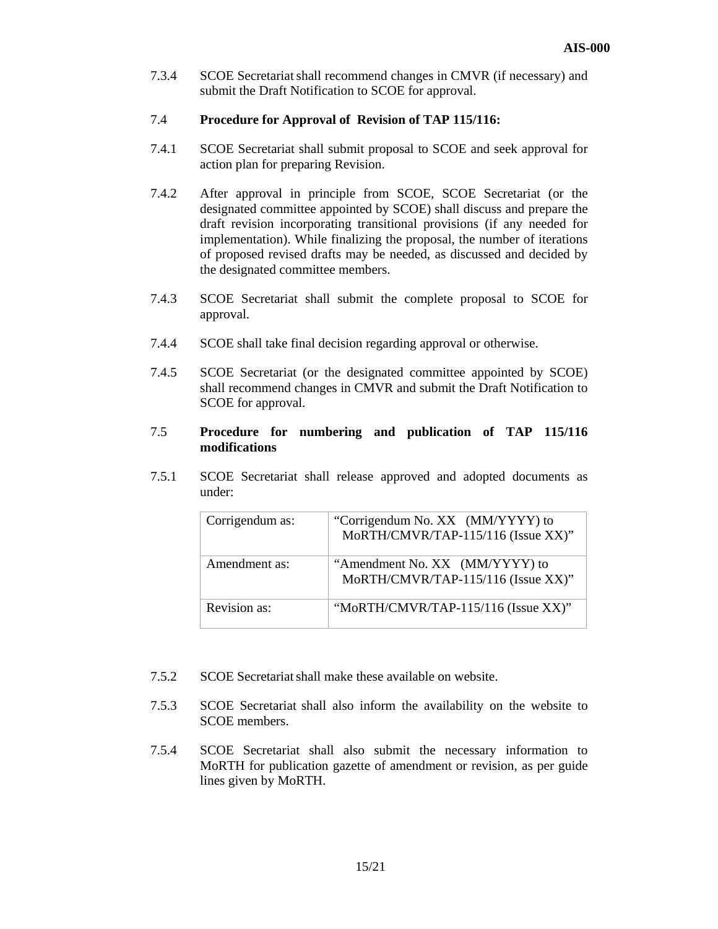7.3.4 SCOE Secretariatshall recommend changes in CMVR (if necessary) and submit the Draft Notification to SCOE for approval.

#### 7.4 **Procedure for Approval of Revision of TAP 115/116:**

- 7.4.1 SCOE Secretariat shall submit proposal to SCOE and seek approval for action plan for preparing Revision.
- 7.4.2 After approval in principle from SCOE, SCOE Secretariat (or the designated committee appointed by SCOE) shall discuss and prepare the draft revision incorporating transitional provisions (if any needed for implementation). While finalizing the proposal, the number of iterations of proposed revised drafts may be needed, as discussed and decided by the designated committee members.
- 7.4.3 SCOE Secretariat shall submit the complete proposal to SCOE for approval.
- 7.4.4 SCOE shall take final decision regarding approval or otherwise.
- 7.4.5 SCOE Secretariat (or the designated committee appointed by SCOE) shall recommend changes in CMVR and submit the Draft Notification to SCOE for approval.

## 7.5 **Procedure for numbering and publication of TAP 115/116 modifications**

7.5.1 SCOE Secretariat shall release approved and adopted documents as under:

| Corrigendum as: | "Corrigendum No. XX (MM/YYYY) to<br>MoRTH/CMVR/TAP-115/116 (Issue XX)" |
|-----------------|------------------------------------------------------------------------|
| Amendment as:   | "Amendment No. XX (MM/YYYY) to<br>MoRTH/CMVR/TAP-115/116 (Issue XX)"   |
| Revision as:    | "MoRTH/CMVR/TAP-115/116 (Issue XX)"                                    |

- 7.5.2 SCOE Secretariatshall make these available on website.
- 7.5.3 SCOE Secretariat shall also inform the availability on the website to SCOE members.
- 7.5.4 SCOE Secretariat shall also submit the necessary information to MoRTH for publication gazette of amendment or revision, as per guide lines given by MoRTH.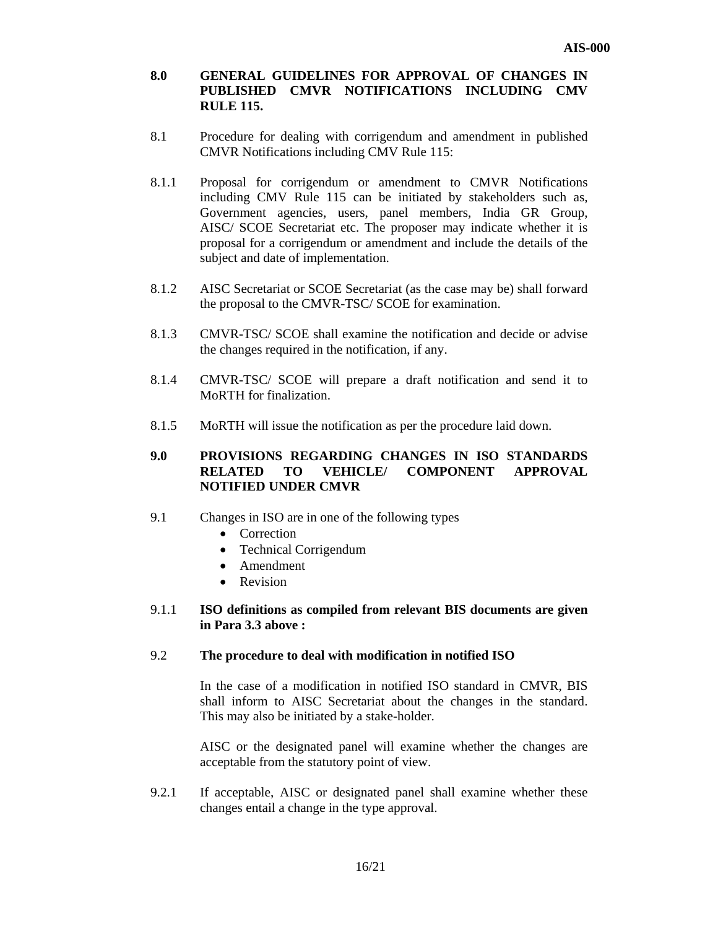## **8.0 GENERAL GUIDELINES FOR APPROVAL OF CHANGES IN PUBLISHED CMVR NOTIFICATIONS INCLUDING CMV RULE 115.**

- 8.1 Procedure for dealing with corrigendum and amendment in published CMVR Notifications including CMV Rule 115:
- 8.1.1 Proposal for corrigendum or amendment to CMVR Notifications including CMV Rule 115 can be initiated by stakeholders such as, Government agencies, users, panel members, India GR Group, AISC/ SCOE Secretariat etc. The proposer may indicate whether it is proposal for a corrigendum or amendment and include the details of the subject and date of implementation.
- 8.1.2 AISC Secretariat or SCOE Secretariat (as the case may be) shall forward the proposal to the CMVR-TSC/ SCOE for examination.
- 8.1.3 CMVR-TSC/ SCOE shall examine the notification and decide or advise the changes required in the notification, if any.
- 8.1.4 CMVR-TSC/ SCOE will prepare a draft notification and send it to MoRTH for finalization.
- 8.1.5 MoRTH will issue the notification as per the procedure laid down.

## **9.0 PROVISIONS REGARDING CHANGES IN ISO STANDARDS RELATED TO VEHICLE/ COMPONENT APPROVAL NOTIFIED UNDER CMVR**

- 9.1 Changes in ISO are in one of the following types
	- Correction
	- Technical Corrigendum
	- Amendment
	- Revision

## 9.1.1 **ISO definitions as compiled from relevant BIS documents are given in Para 3.3 above :**

#### 9.2 **The procedure to deal with modification in notified ISO**

 In the case of a modification in notified ISO standard in CMVR, BIS shall inform to AISC Secretariat about the changes in the standard. This may also be initiated by a stake-holder.

 AISC or the designated panel will examine whether the changes are acceptable from the statutory point of view.

9.2.1 If acceptable, AISC or designated panel shall examine whether these changes entail a change in the type approval.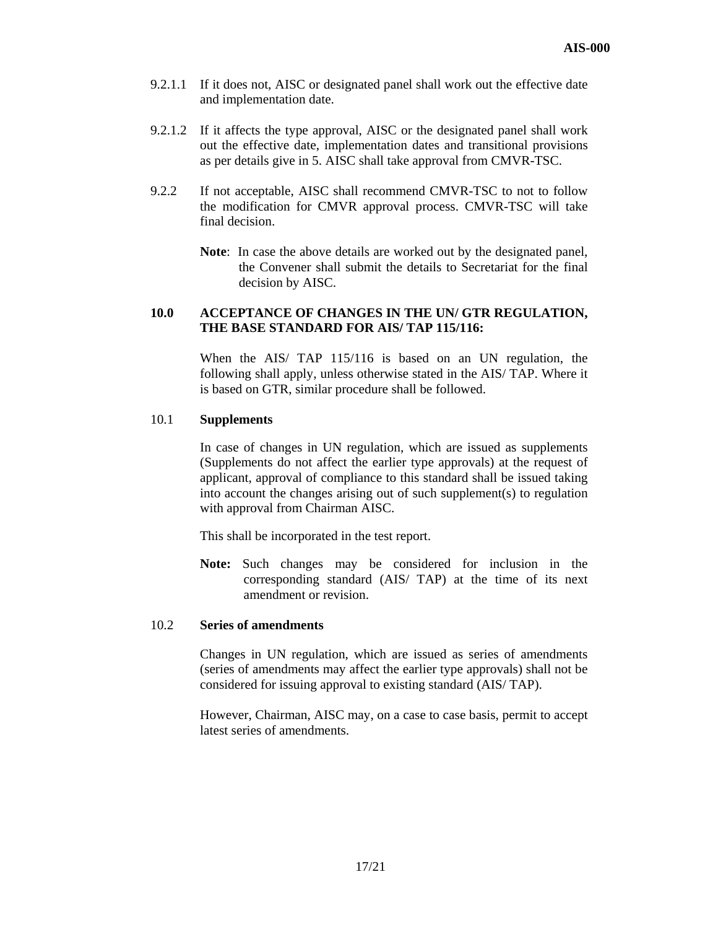- 9.2.1.1 If it does not, AISC or designated panel shall work out the effective date and implementation date.
- 9.2.1.2 If it affects the type approval, AISC or the designated panel shall work out the effective date, implementation dates and transitional provisions as per details give in 5. AISC shall take approval from CMVR-TSC.
- 9.2.2 If not acceptable, AISC shall recommend CMVR-TSC to not to follow the modification for CMVR approval process. CMVR-TSC will take final decision.
	- **Note**: In case the above details are worked out by the designated panel, the Convener shall submit the details to Secretariat for the final decision by AISC.

## **10.0 ACCEPTANCE OF CHANGES IN THE UN/ GTR REGULATION, THE BASE STANDARD FOR AIS/ TAP 115/116:**

When the AIS/ TAP 115/116 is based on an UN regulation, the following shall apply, unless otherwise stated in the AIS/ TAP. Where it is based on GTR, similar procedure shall be followed.

### 10.1 **Supplements**

 In case of changes in UN regulation, which are issued as supplements (Supplements do not affect the earlier type approvals) at the request of applicant, approval of compliance to this standard shall be issued taking into account the changes arising out of such supplement(s) to regulation with approval from Chairman AISC.

This shall be incorporated in the test report.

**Note:** Such changes may be considered for inclusion in the corresponding standard (AIS/ TAP) at the time of its next amendment or revision.

#### 10.2 **Series of amendments**

Changes in UN regulation, which are issued as series of amendments (series of amendments may affect the earlier type approvals) shall not be considered for issuing approval to existing standard (AIS/ TAP).

However, Chairman, AISC may, on a case to case basis, permit to accept latest series of amendments.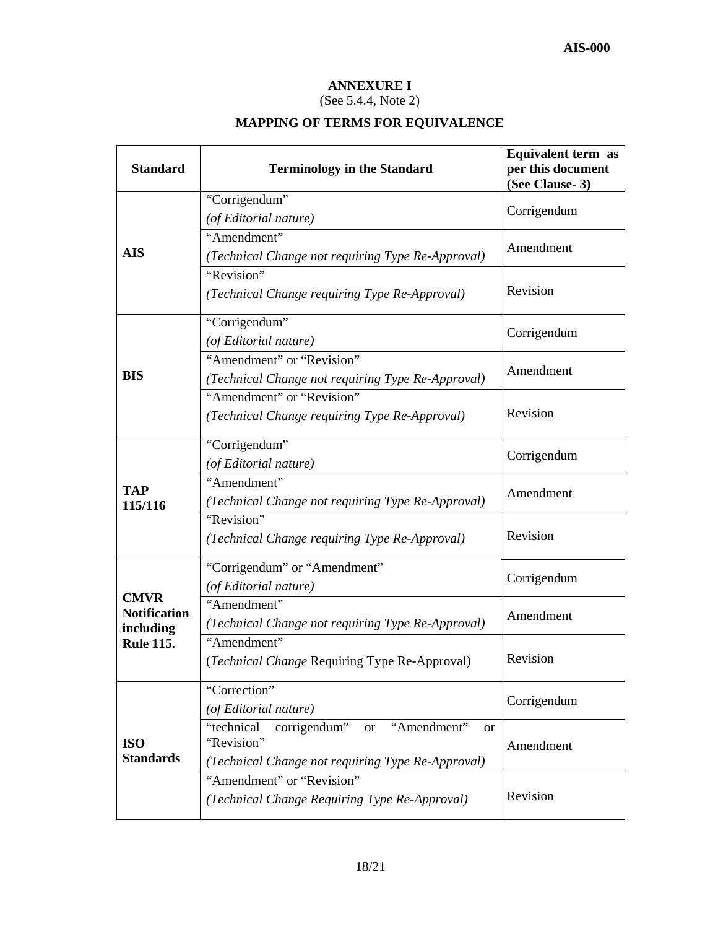# **ANNEXURE I**

# (See 5.4.4, Note 2)

# **MAPPING OF TERMS FOR EQUIVALENCE**

| <b>Standard</b>                  | <b>Terminology in the Standard</b>                                                                                               | Equivalent term as<br>per this document<br>(See Clause-3) |  |
|----------------------------------|----------------------------------------------------------------------------------------------------------------------------------|-----------------------------------------------------------|--|
|                                  | "Corrigendum"                                                                                                                    |                                                           |  |
|                                  | (of Editorial nature)                                                                                                            | Corrigendum                                               |  |
| <b>AIS</b>                       | "Amendment"<br>(Technical Change not requiring Type Re-Approval)                                                                 | Amendment                                                 |  |
|                                  | "Revision"<br>(Technical Change requiring Type Re-Approval)                                                                      | Revision                                                  |  |
|                                  | "Corrigendum"<br>(of Editorial nature)                                                                                           | Corrigendum                                               |  |
| <b>BIS</b>                       | "Amendment" or "Revision"<br>(Technical Change not requiring Type Re-Approval)                                                   | Amendment                                                 |  |
|                                  | "Amendment" or "Revision"<br>(Technical Change requiring Type Re-Approval)                                                       | Revision                                                  |  |
|                                  | "Corrigendum"<br>(of Editorial nature)                                                                                           | Corrigendum                                               |  |
| <b>TAP</b><br>115/116            | "Amendment"<br>(Technical Change not requiring Type Re-Approval)                                                                 | Amendment                                                 |  |
|                                  | "Revision"<br>(Technical Change requiring Type Re-Approval)                                                                      | Revision                                                  |  |
| <b>CMVR</b>                      | "Corrigendum" or "Amendment"<br>(of Editorial nature)                                                                            | Corrigendum                                               |  |
| <b>Notification</b><br>including | "Amendment"<br>(Technical Change not requiring Type Re-Approval)                                                                 | Amendment                                                 |  |
| <b>Rule 115.</b>                 | "Amendment"<br>(Technical Change Requiring Type Re-Approval)                                                                     | Revision                                                  |  |
|                                  | "Correction"<br>(of Editorial nature)                                                                                            | Corrigendum                                               |  |
| <b>ISO</b><br><b>Standards</b>   | corrigendum"<br>"technical<br>or "Amendment"<br><sub>or</sub><br>"Revision"<br>(Technical Change not requiring Type Re-Approval) | Amendment                                                 |  |
|                                  | "Amendment" or "Revision"<br>(Technical Change Requiring Type Re-Approval)                                                       | Revision                                                  |  |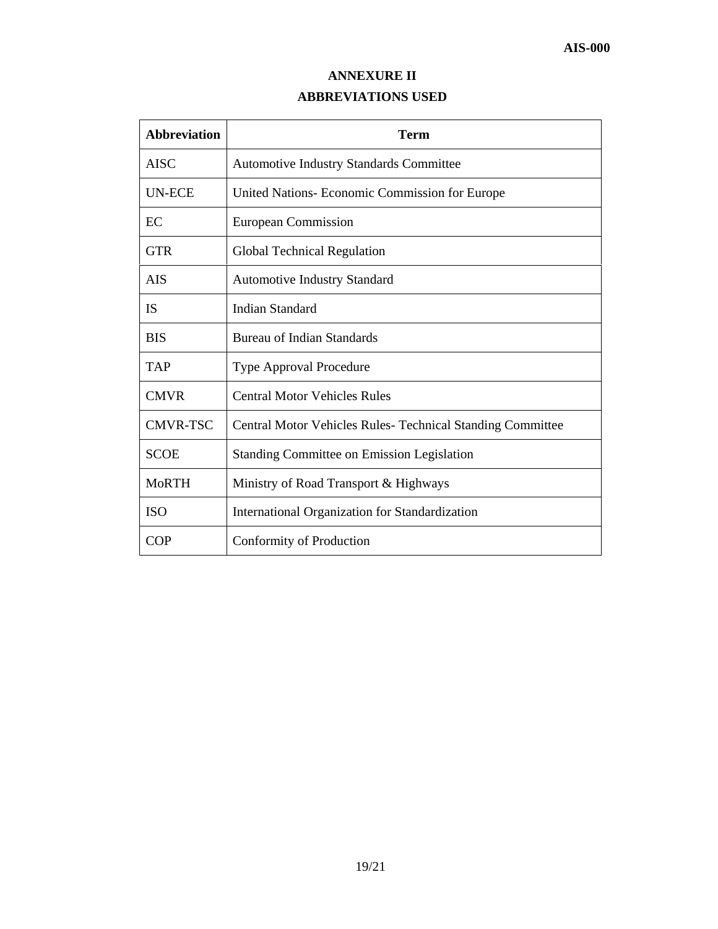# **ANNEXURE II**

## **ABBREVIATIONS USED**

| <b>Abbreviation</b> | <b>Term</b>                                                       |
|---------------------|-------------------------------------------------------------------|
| <b>AISC</b>         | <b>Automotive Industry Standards Committee</b>                    |
| <b>UN-ECE</b>       | United Nations- Economic Commission for Europe                    |
| EC                  | European Commission                                               |
| <b>GTR</b>          | <b>Global Technical Regulation</b>                                |
| AIS                 | <b>Automotive Industry Standard</b>                               |
| <b>IS</b>           | <b>Indian Standard</b>                                            |
| <b>BIS</b>          | <b>Bureau of Indian Standards</b>                                 |
| <b>TAP</b>          | <b>Type Approval Procedure</b>                                    |
| <b>CMVR</b>         | <b>Central Motor Vehicles Rules</b>                               |
| <b>CMVR-TSC</b>     | <b>Central Motor Vehicles Rules- Technical Standing Committee</b> |
| <b>SCOE</b>         | <b>Standing Committee on Emission Legislation</b>                 |
| <b>MoRTH</b>        | Ministry of Road Transport & Highways                             |
| <b>ISO</b>          | International Organization for Standardization                    |
| <b>COP</b>          | Conformity of Production                                          |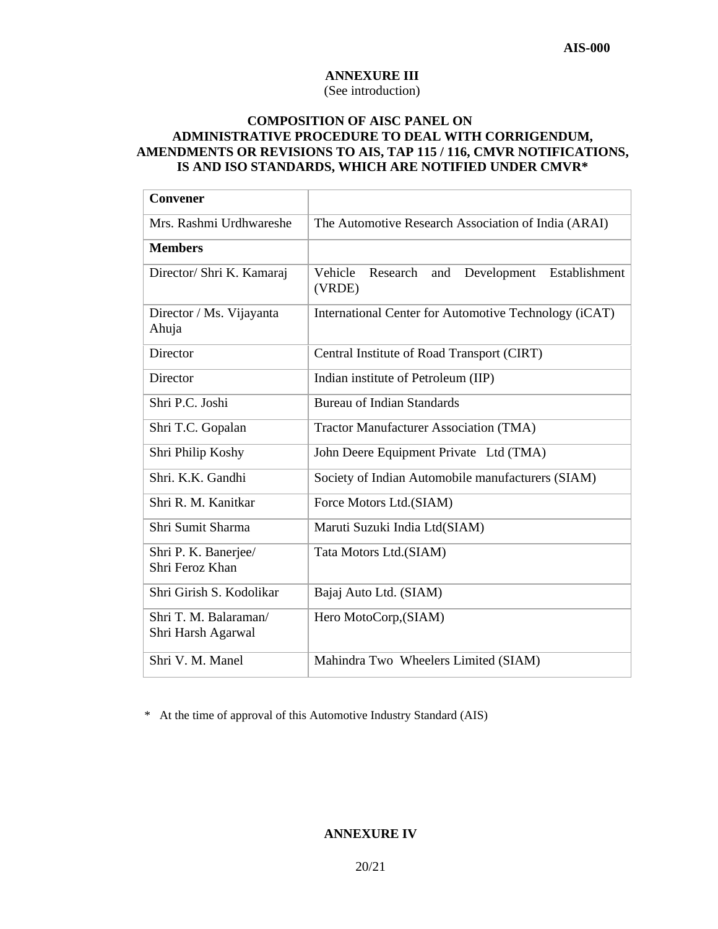# **ANNEXURE III**

(See introduction)

## **COMPOSITION OF AISC PANEL ON ADMINISTRATIVE PROCEDURE TO DEAL WITH CORRIGENDUM, AMENDMENTS OR REVISIONS TO AIS, TAP 115 / 116, CMVR NOTIFICATIONS, IS AND ISO STANDARDS, WHICH ARE NOTIFIED UNDER CMVR\***

| <b>Convener</b>                             |                                                                      |
|---------------------------------------------|----------------------------------------------------------------------|
| Mrs. Rashmi Urdhwareshe                     | The Automotive Research Association of India (ARAI)                  |
| <b>Members</b>                              |                                                                      |
| Director/ Shri K. Kamaraj                   | Research<br>Vehicle<br>Development<br>Establishment<br>and<br>(VRDE) |
| Director / Ms. Vijayanta<br>Ahuja           | International Center for Automotive Technology (iCAT)                |
| Director                                    | Central Institute of Road Transport (CIRT)                           |
| Director                                    | Indian institute of Petroleum (IIP)                                  |
| Shri P.C. Joshi                             | <b>Bureau of Indian Standards</b>                                    |
| Shri T.C. Gopalan                           | <b>Tractor Manufacturer Association (TMA)</b>                        |
| Shri Philip Koshy                           | John Deere Equipment Private Ltd (TMA)                               |
| Shri. K.K. Gandhi                           | Society of Indian Automobile manufacturers (SIAM)                    |
| Shri R. M. Kanitkar                         | Force Motors Ltd.(SIAM)                                              |
| Shri Sumit Sharma                           | Maruti Suzuki India Ltd(SIAM)                                        |
| Shri P. K. Banerjee/<br>Shri Feroz Khan     | Tata Motors Ltd.(SIAM)                                               |
| Shri Girish S. Kodolikar                    | Bajaj Auto Ltd. (SIAM)                                               |
| Shri T. M. Balaraman/<br>Shri Harsh Agarwal | Hero MotoCorp, (SIAM)                                                |
| Shri V. M. Manel                            | Mahindra Two Wheelers Limited (SIAM)                                 |

\* At the time of approval of this Automotive Industry Standard (AIS)

## **ANNEXURE IV**